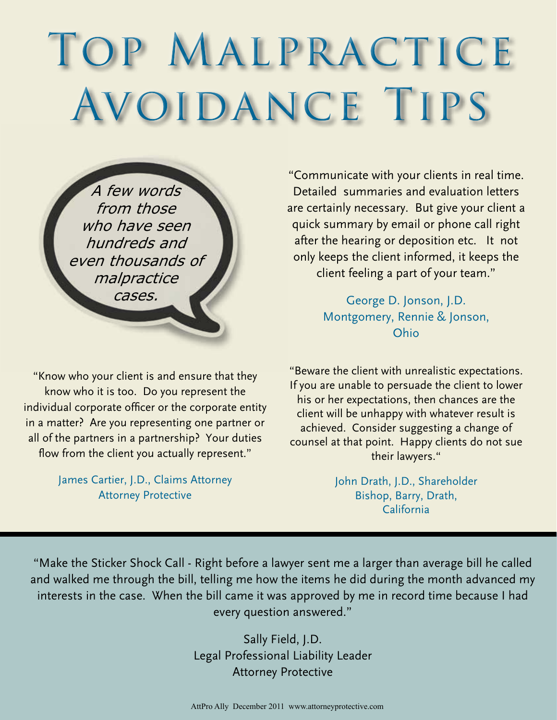## TOP MALPRACTICE Avoidance Tips

A few words from those who have seen hundreds and even thousands of malpractice cases.

"Know who your client is and ensure that they know who it is too. Do you represent the individual corporate officer or the corporate entity in a matter? Are you representing one partner or all of the partners in a partnership? Your duties flow from the client you actually represent."

> James Cartier, J.D., Claims Attorney Attorney Protective

"Communicate with your clients in real time. Detailed summaries and evaluation letters are certainly necessary. But give your client a quick summary by email or phone call right after the hearing or deposition etc. It not only keeps the client informed, it keeps the client feeling a part of your team."

> George D. Jonson, J.D. Montgomery, Rennie & Jonson, Ohio

"Beware the client with unrealistic expectations. If you are unable to persuade the client to lower his or her expectations, then chances are the client will be unhappy with whatever result is achieved. Consider suggesting a change of counsel at that point. Happy clients do not sue their lawyers."

> John Drath, J.D., Shareholder Bishop, Barry, Drath, California

"Make the Sticker Shock Call - Right before a lawyer sent me a larger than average bill he called and walked me through the bill, telling me how the items he did during the month advanced my interests in the case. When the bill came it was approved by me in record time because I had every question answered."

> Sally Field, J.D. Legal Professional Liability Leader Attorney Protective